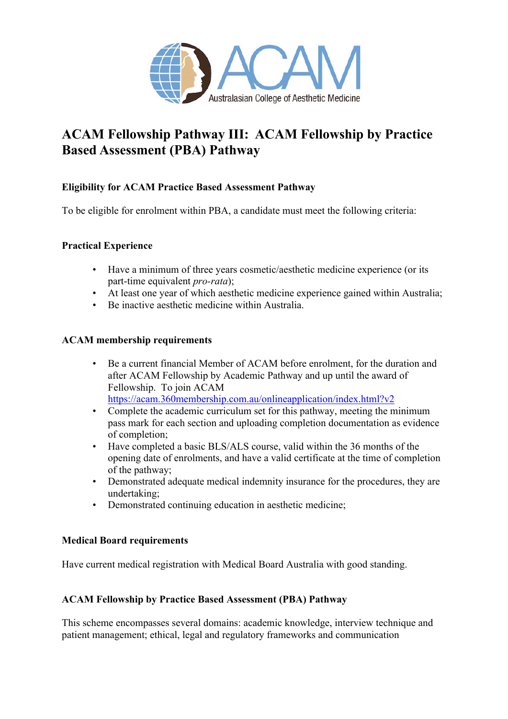

# **ACAM Fellowship Pathway III: ACAM Fellowship by Practice Based Assessment (PBA) Pathway**

## **Eligibility for ACAM Practice Based Assessment Pathway**

To be eligible for enrolment within PBA, a candidate must meet the following criteria:

## **Practical Experience**

- Have a minimum of three years cosmetic/aesthetic medicine experience (or its part-time equivalent *pro-rata*);
- At least one year of which aesthetic medicine experience gained within Australia;
- Be inactive aesthetic medicine within Australia.

## **ACAM membership requirements**

- Be a current financial Member of ACAM before enrolment, for the duration and after ACAM Fellowship by Academic Pathway and up until the award of Fellowship. To join ACAM https://acam.360membership.com.au/onlineapplication/index.html?v2
- Complete the academic curriculum set for this pathway, meeting the minimum pass mark for each section and uploading completion documentation as evidence of completion;
- Have completed a basic BLS/ALS course, valid within the 36 months of the opening date of enrolments, and have a valid certificate at the time of completion of the pathway;
- Demonstrated adequate medical indemnity insurance for the procedures, they are undertaking;
- Demonstrated continuing education in aesthetic medicine;

## **Medical Board requirements**

Have current medical registration with Medical Board Australia with good standing.

## **ACAM Fellowship by Practice Based Assessment (PBA) Pathway**

This scheme encompasses several domains: academic knowledge, interview technique and patient management; ethical, legal and regulatory frameworks and communication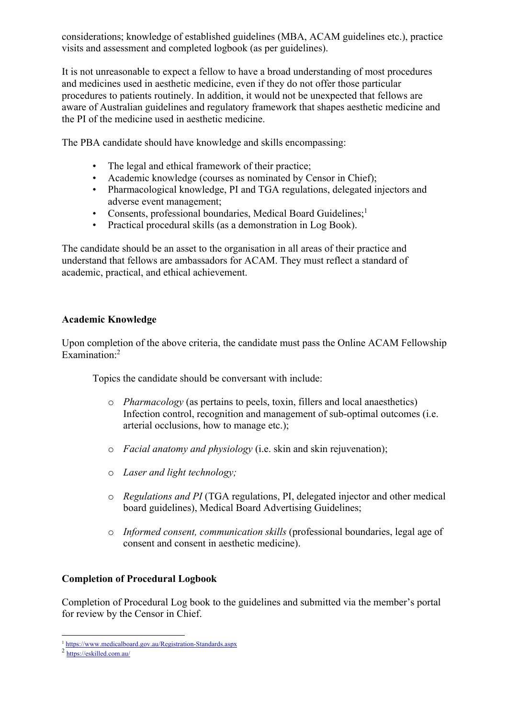considerations; knowledge of established guidelines (MBA, ACAM guidelines etc.), practice visits and assessment and completed logbook (as per guidelines).

It is not unreasonable to expect a fellow to have a broad understanding of most procedures and medicines used in aesthetic medicine, even if they do not offer those particular procedures to patients routinely. In addition, it would not be unexpected that fellows are aware of Australian guidelines and regulatory framework that shapes aesthetic medicine and the PI of the medicine used in aesthetic medicine.

The PBA candidate should have knowledge and skills encompassing:

- The legal and ethical framework of their practice;
- Academic knowledge (courses as nominated by Censor in Chief);
- Pharmacological knowledge, PI and TGA regulations, delegated injectors and adverse event management;
- Consents, professional boundaries, Medical Board Guidelines;<sup>1</sup>
- Practical procedural skills (as a demonstration in Log Book).

The candidate should be an asset to the organisation in all areas of their practice and understand that fellows are ambassadors for ACAM. They must reflect a standard of academic, practical, and ethical achievement.

## **Academic Knowledge**

Upon completion of the above criteria, the candidate must pass the Online ACAM Fellowship Examination: 2

Topics the candidate should be conversant with include:

- o *Pharmacology* (as pertains to peels, toxin, fillers and local anaesthetics) Infection control, recognition and management of sub-optimal outcomes (i.e. arterial occlusions, how to manage etc.);
- o *Facial anatomy and physiology* (i.e. skin and skin rejuvenation);
- o *Laser and light technology;*
- o *Regulations and PI* (TGA regulations, PI, delegated injector and other medical board guidelines), Medical Board Advertising Guidelines;
- o *Informed consent, communication skills* (professional boundaries, legal age of consent and consent in aesthetic medicine).

# **Completion of Procedural Logbook**

Completion of Procedural Log book to the guidelines and submitted via the member's portal for review by the Censor in Chief.

<sup>1</sup> https://www.medicalboard.gov.au/Registration-Standards.aspx

<sup>2</sup> https://eskilled.com.au/